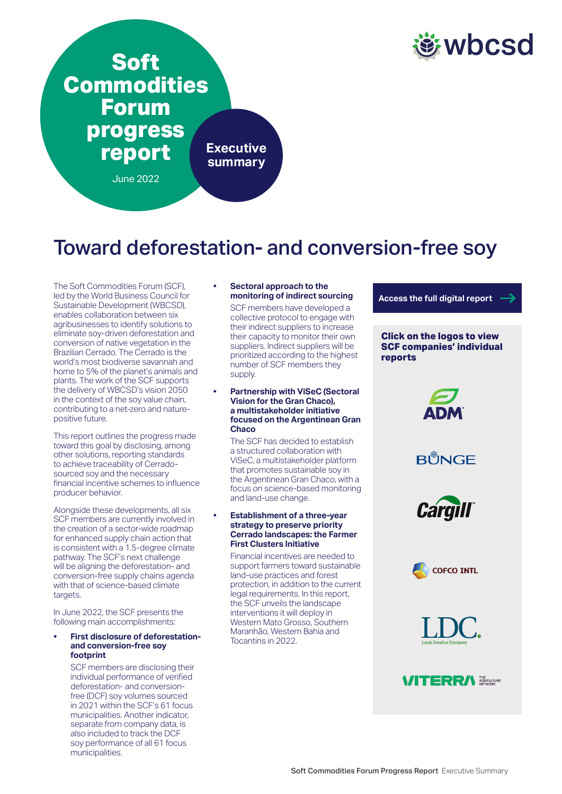

# **Soft Commodities Forum progress report** June 2022 **Executive summary**

# Toward deforestation- and conversion-free soy

The Soft Commodities Forum (SCF), led by the World Business Council for Sustainable Development (WBCSD), enables collaboration between six agribusinesses to identify solutions to eliminate soy-driven deforestation and conversion of native vegetation in the Brazilian Cerrado. The Cerrado is the world's most biodiverse savannah and home to 5% of the planet's animals and plants. The work of the SCF supports the delivery of WBCSD's vision 2050 in the context of the soy value chain, contributing to a net-zero and naturepositive future.

This report outlines the progress made toward this goal by disclosing, among other solutions, reporting standards to achieve traceability of Cerradosourced soy and the necessary financial incentive schemes to influence producer behavior.

Alongside these developments, all six SCF members are currently involved in the creation of a sector-wide roadmap for enhanced supply chain action that is consistent with a 1.5-degree climate pathway. The SCF's next challenge will be aligning the deforestation- and conversion-free supply chains agenda with that of science-based climate targets.

In June 2022, the SCF presents the following main accomplishments:

#### **• First disclosure of deforestationand conversion-free soy footprint**

SCF members are disclosing their individual performance of verified deforestation- and conversionfree (DCF) soy volumes sourced in 2021 within the SCF's 61 focus municipalities. Another indicator, separate from company data, is also included to track the DCF soy performance of all 61 focus municipalities.

#### **• Sectoral approach to the monitoring of indirect sourcing**

SCF members have developed a collective protocol to engage with their indirect suppliers to increase their capacity to monitor their own suppliers. Indirect suppliers will be prioritized according to the highest number of SCF members they supply.

#### **• Partnership with ViSeC (Sectoral Vision for the Gran Chaco), a multistakeholder initiative focused on the Argentinean Gran Chaco**

The SCF has decided to establish a structured collaboration with ViSeC, a multistakeholder platform that promotes sustainable soy in the Argentinean Gran Chaco, with a focus on science-based monitoring and land-use change.

#### **• Establishment of a three-year strategy to preserve priority Cerrado landscapes: the Farmer First Clusters Initiative**

Financial incentives are needed to support farmers toward sustainable land-use practices and forest protection, in addition to the current legal requirements. In this report, the SCF unveils the landscape interventions it will deploy in Western Mato Grosso, Southern Maranhão, Western Bahia and Tocantins in 2022.

**[Access the full digital report](https://wbcsdpublications.org/scf/)**

#### **Click on the logos to view SCF companies' individual reports**











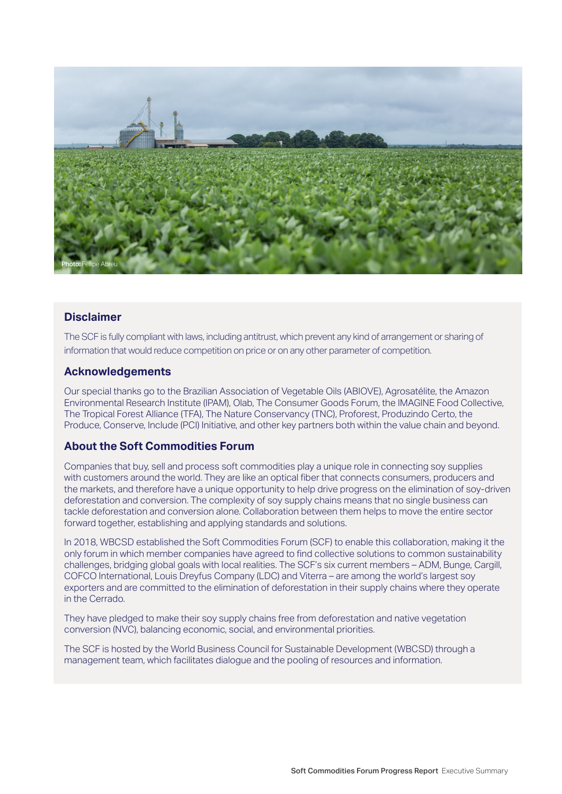

# **Disclaimer**

The SCF is fully compliant with laws, including antitrust, which prevent any kind of arrangement or sharing of information that would reduce competition on price or on any other parameter of competition.

# **Acknowledgements**

Our special thanks go to the Brazilian Association of Vegetable Oils (ABIOVE), Agrosatélite, the Amazon Environmental Research Institute (IPAM), Olab, The Consumer Goods Forum, the IMAGINE Food Collective, The Tropical Forest Alliance (TFA), The Nature Conservancy (TNC), Proforest, Produzindo Certo, the Produce, Conserve, Include (PCI) Initiative, and other key partners both within the value chain and beyond.

# **About the Soft Commodities Forum**

Companies that buy, sell and process soft commodities play a unique role in connecting soy supplies with customers around the world. They are like an optical fiber that connects consumers, producers and the markets, and therefore have a unique opportunity to help drive progress on the elimination of soy-driven deforestation and conversion. The complexity of soy supply chains means that no single business can tackle deforestation and conversion alone. Collaboration between them helps to move the entire sector forward together, establishing and applying standards and solutions.

In 2018, WBCSD established the Soft Commodities Forum (SCF) to enable this collaboration, making it the only forum in which member companies have agreed to find collective solutions to common sustainability challenges, bridging global goals with local realities. The SCF's six current members – ADM, Bunge, Cargill, COFCO International, Louis Dreyfus Company (LDC) and Viterra – are among the world's largest soy exporters and are committed to the elimination of deforestation in their supply chains where they operate in the Cerrado.

They have pledged to make their soy supply chains free from deforestation and native vegetation conversion (NVC), balancing economic, social, and environmental priorities.

The SCF is hosted by the World Business Council for Sustainable Development (WBCSD) through a management team, which facilitates dialogue and the pooling of resources and information.